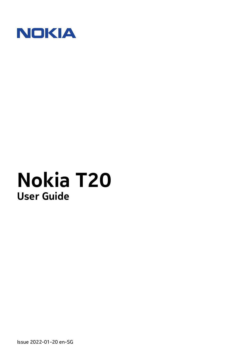

Issue 2022-01-20 en-SG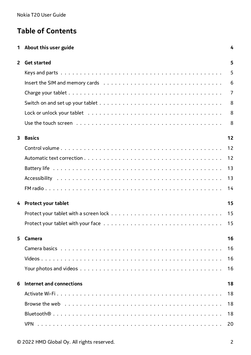# **Table of Contents**

|                         | About this user guide                                                                                       | 4              |
|-------------------------|-------------------------------------------------------------------------------------------------------------|----------------|
| $\overline{2}$          | <b>Get started</b>                                                                                          | 5              |
|                         |                                                                                                             | 5              |
|                         |                                                                                                             | 6              |
|                         |                                                                                                             | $\overline{7}$ |
|                         |                                                                                                             | 8              |
|                         |                                                                                                             | 8              |
|                         |                                                                                                             | 8              |
| $\overline{\mathbf{3}}$ | <b>Basics</b>                                                                                               | 12             |
|                         |                                                                                                             | 12             |
|                         |                                                                                                             | 12             |
|                         |                                                                                                             | 13             |
|                         |                                                                                                             | 13             |
|                         |                                                                                                             | 14             |
| 4                       | <b>Protect your tablet</b>                                                                                  | 15             |
|                         |                                                                                                             | 15             |
|                         |                                                                                                             | 15             |
| 5                       | Camera                                                                                                      | 16             |
|                         |                                                                                                             | 16             |
|                         |                                                                                                             | 16             |
|                         |                                                                                                             | 16             |
| 6                       | Internet and connections                                                                                    | 18             |
|                         |                                                                                                             | 18             |
|                         | Browse the web $\ldots \ldots \ldots \ldots \ldots \ldots \ldots \ldots \ldots \ldots \ldots \ldots \ldots$ | 18             |
|                         |                                                                                                             | 18             |
|                         |                                                                                                             | 20             |
|                         |                                                                                                             |                |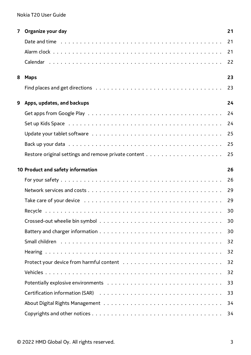| 7                                 | Organize your day          | 21 |
|-----------------------------------|----------------------------|----|
|                                   |                            | 21 |
|                                   |                            | 21 |
|                                   |                            | 22 |
|                                   |                            | 23 |
| 8                                 | <b>Maps</b>                |    |
|                                   |                            | 23 |
| 9                                 | Apps, updates, and backups | 24 |
|                                   |                            | 24 |
|                                   |                            | 24 |
|                                   |                            | 25 |
|                                   |                            | 25 |
|                                   |                            | 25 |
| 10 Product and safety information |                            |    |
|                                   |                            | 26 |
|                                   |                            | 26 |
|                                   |                            | 29 |
|                                   |                            | 29 |
|                                   |                            |    |
|                                   |                            | 30 |
|                                   |                            | 30 |
|                                   |                            | 32 |
|                                   |                            | 32 |
|                                   |                            | 32 |
|                                   |                            | 32 |
|                                   |                            | 33 |
|                                   |                            | 33 |
|                                   |                            | 34 |
|                                   |                            | 34 |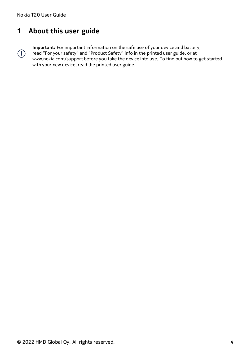$\left(\frac{1}{2}\right)$ 

# <span id="page-3-0"></span>**1 About this user guide**

**Important:** For important information on the safe use of your device and battery, read "For your safety" and "Product Safety" info in the printed user guide, or at www.nokia.com/support before you take the device into use. To find out how to get started

with your new device, read the printed user guide.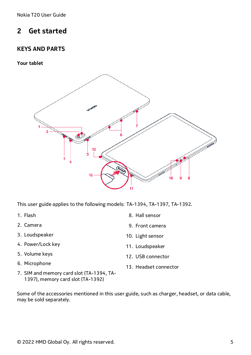# <span id="page-4-0"></span>**2 Get started**

### <span id="page-4-1"></span>**KEYS AND PARTS**

**Your tablet**



This user guide applies to the following models: TA-1394, TA-1397, TA-1392.

- 1. Flash
- 2. Camera
- 3. Loudspeaker
- 4. Power/Lock key
- 5. Volume keys
- 6. Microphone
- 7. SIM and memory card slot (TA-1394, TA-1397), memory card slot (TA-1392)
- 8. Hall sensor
- 9. Front camera
- 10. Light sensor
- 11. Loudspeaker
- 12. USB connector
- 13. Headset connector

Some of the accessories mentioned in this user guide, such as charger, headset, or data cable, may be sold separately.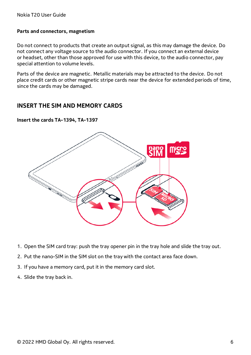#### **Parts and connectors, magnetism**

Do not connect to products that create an output signal, as this may damage the device. Do not connect any voltage source to the audio connector. If you connect an external device or headset, other than those approved for use with this device, to the audio connector, pay special attention to volume levels.

Parts of the device are magnetic. Metallic materials may be attracted to the device. Do not place credit cards or other magnetic stripe cards near the device for extended periods of time, since the cards may be damaged.

#### <span id="page-5-0"></span>**INSERT THE SIM AND MEMORY CARDS**

**Insert the cards TA-1394, TA-1397**



- 1. Open the SIM card tray: push the tray opener pin in the tray hole and slide the tray out.
- 2. Put the nano-SIM in the SIM slot on the tray with the contact area face down.
- 3. If you have a memory card, put it in the memory card slot.
- 4. Slide the tray back in.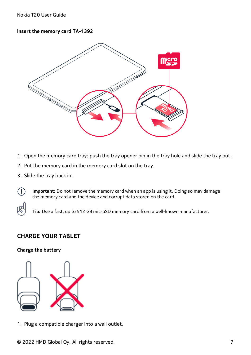#### **Insert the memory card TA-1392**



- 1. Open the memory card tray: push the tray opener pin in the tray hole and slide the tray out.
- 2. Put the memory card in the memory card slot on the tray.
- 3. Slide the tray back in.

 $\left( \begin{matrix} \cdot \\ \cdot \end{matrix} \right)$ 

**Important**: Do not remove the memory card when an app is using it. Doing so may damage the memory card and the device and corrupt data stored on the card.

**Tip:** Use a fast, up to 512 GB microSD memory card from a well-known manufacturer.

### <span id="page-6-0"></span>**CHARGE YOUR TABLET**

#### **Charge the battery**



1. Plug a compatible charger into a wall outlet.

© 2022 HMD Global Oy. All rights reserved. 7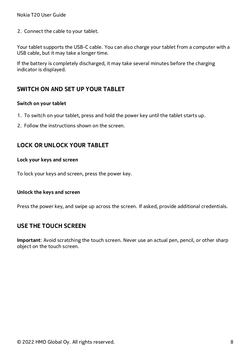2. Connect the cable to your tablet.

Your tablet supports the USB-C cable. You can also charge your tablet from a computer with a USB cable, but it may take a longer time.

If the battery is completely discharged, it may take several minutes before the charging indicator is displayed.

### <span id="page-7-0"></span>**SWITCH ON AND SET UP YOUR TABLET**

#### **Switch on your tablet**

- 1. To switch on your tablet, press and hold the power key until the tablet starts up.
- 2. Follow the instructions shown on the screen.

### <span id="page-7-1"></span>**LOCK OR UNLOCK YOUR TABLET**

#### **Lock your keys and screen**

To lock your keys and screen, press the power key.

#### **Unlock the keys and screen**

Press the power key, and swipe up across the screen. If asked, provide additional credentials.

### <span id="page-7-2"></span>**USE THE TOUCH SCREEN**

**Important**: Avoid scratching the touch screen. Never use an actual pen, pencil, or other sharp object on the touch screen.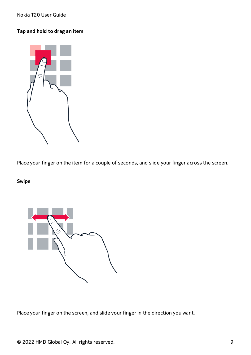### **Tap and hold to drag an item**



Place your finger on the item for a couple of seconds, and slide your finger across the screen.

### **Swipe**



Place your finger on the screen, and slide your finger in the direction you want.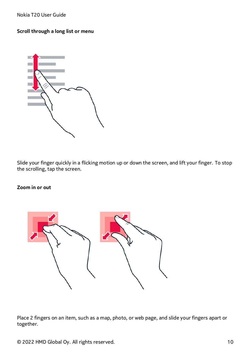#### **Scroll through a long list or menu**



Slide your finger quickly in a flicking motion up or down the screen, and lift your finger. To stop the scrolling, tap the screen.

#### **Zoom in or out**



Place 2 fingers on an item, such as a map, photo, or web page, and slide your fingers apart or together.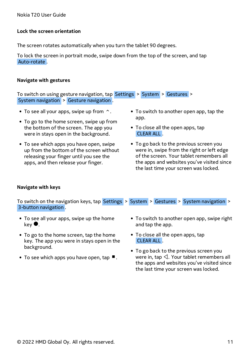#### **Lock the screen orientation**

The screen rotates automatically when you turn the tablet 90 degrees.

To lock the screen in portrait mode, swipe down from the top of the screen, and tap Auto-rotate .

#### **Navigate with gestures**

To switch on using gesture navigation, tap Settings > System > Gestures > System navigation > Gesture navigation .

- To see all your apps, swipe up from  $\hat{\ }$ .
- To go to the home screen, swipe up from the bottom of the screen. The app you were in stays open in the background.
- To see which apps you have open, swipe up from the bottom of the screen without releasing your finger until you see the apps, and then release your finger.
- To switch to another open app, tap the app.
- To close all the open apps, tap CLEAR ALL .
- To go back to the previous screen you were in, swipe from the right or left edge of the screen. Your tablet remembers all the apps and websites you've visited since the last time your screen was locked.

#### **Navigate with keys**

To switch on the navigation keys, tap Settings > System > Gestures > System navigation > 3-button navigation .

- To see all your apps, swipe up the home key �.
- To go to the home screen, tap the home key. The app you were in stays open in the background.
- To see which apps you have open, tap  $\blacksquare$ .
- To switch to another open app, swipe right and tap the app.
- To close all the open apps, tap CLEAR ALL .
- To go back to the previous screen you were in, tap  $\triangleleft$ . Your tablet remembers all the apps and websites you've visited since the last time your screen was locked.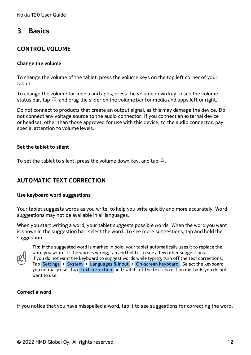# <span id="page-11-0"></span>**3 Basics**

### <span id="page-11-1"></span>**CONTROL VOLUME**

#### **Change the volume**

To change the volume of the tablet, press the volume keys on the top left corner of your tablet.

To change the volume for media and apps, press the volume down key to see the volume status bar, tap  $\vec{F}$ , and drag the slider on the volume bar for media and apps left or right.

Do not connect to products that create an output signal, as this may damage the device. Do not connect any voltage source to the audio connector. If you connect an external device or headset, other than those approved for use with this device, to the audio connector, pay special attention to volume levels.

#### **Set the tablet to silent**

To set the tablet to silent, press the volume down key, and tap  $\overline{4}$ .

### <span id="page-11-2"></span>**AUTOMATIC TEXT CORRECTION**

#### **Use keyboard word suggestions**

Your tablet suggests words as you write, to help you write quickly and more accurately. Word suggestions may not be available in all languages.

When you start writing a word, your tablet suggests possible words. When the word you want is shown in the suggestion bar, select the word. To see more suggestions, tap and hold the suggestion.



**Tip:** If the suggested word is marked in bold, your tablet automatically uses it to replace the word you wrote. If the word is wrong, tap and hold it to see a few other suggestions. If you do not want the keyboard to suggest words while typing, turn off the text corrections. Tap Settings > System > Languages & input > On-screen keyboard . Select the keyboard you normally use. Tap Text correction and switch off the text correction methods you do not want to use.

#### **Correct a word**

If you notice that you have misspelled a word, tap it to see suggestions for correcting the word.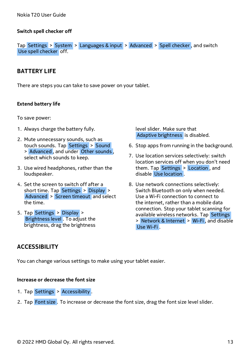#### **Switch spell checker off**

Tap Settings > System > Languages & input > Advanced > Spell checker , and switch Use spell checker off.

### <span id="page-12-0"></span>**BATTERY LIFE**

There are steps you can take to save power on your tablet.

#### **Extend battery life**

To save power:

- 1. Always charge the battery fully.
- 2. Mute unnecessary sounds, such as touch sounds. Tap Settings > Sound > Advanced , and under Other sounds , select which sounds to keep.
- 3. Use wired headphones, rather than the loudspeaker.
- 4. Set the screen to switch off after a short time. Tap Settings > Display > Advanced > Screen timeout and select the time.
- 5. Tap Settings > Display > Brightness level . To adjust the brightness, drag the brightness

level slider. Make sure that Adaptive brightness is disabled.

- 6. Stop apps from running in the background.
- 7. Use location services selectively: switch location services off when you don't need them. Tap Settings > Location , and disable Use location .
- 8. Use network connections selectively: Switch Bluetooth on only when needed. Use a Wi-Fi connection to connect to the internet, rather than a mobile data connection. Stop your tablet scanning for available wireless networks. Tap Settings > Network & Internet > Wi-Fi , and disable Use Wi-Fi .

### <span id="page-12-1"></span>**ACCESSIBILITY**

You can change various settings to make using your tablet easier.

#### **Increase or decrease the font size**

- 1. Tap Settings > Accessibility .
- 2. Tap Font size. To increase or decrease the font size, drag the font size level slider.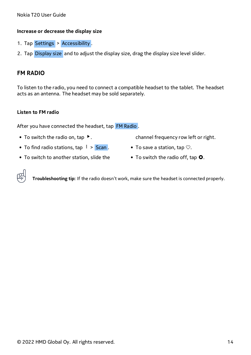#### **Increase or decrease the display size**

- 1. Tap Settings > Accessibility.
- 2. Tap Display size and to adjust the display size, drag the display size level slider.

### <span id="page-13-0"></span>**FM RADIO**

To listen to the radio, you need to connect a compatible headset to the tablet. The headset acts as an antenna. The headset may be sold separately.

#### **Listen to FM radio**

After you have connected the headset, tap FM Radio .

- To switch the radio on, tap  $\blacktriangleright$ .
- To find radio stations, tap  $\mathbf{i}$  > Scan.
- To switch to another station, slide the
- channel frequency row left or right.
- To save a station, tap  $\heartsuit$ .
- To switch the radio off, tap **O**.



**Troubleshooting tip:** If the radio doesn't work, make sure the headset is connected properly.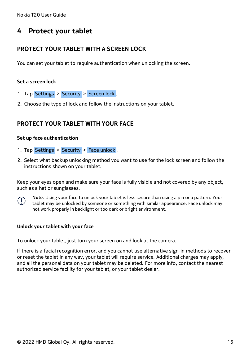# <span id="page-14-0"></span>**4 Protect your tablet**

### <span id="page-14-1"></span>**PROTECT YOUR TABLET WITH A SCREEN LOCK**

You can set your tablet to require authentication when unlocking the screen.

#### **Set a screen lock**

- 1. Tap Settings > Security > Screen lock .
- 2. Choose the type of lock and follow the instructions on your tablet.

### <span id="page-14-2"></span>**PROTECT YOUR TABLET WITH YOUR FACE**

#### **Set up face authentication**

- 1. Tap Settings > Security > Face unlock.
- 2. Select what backup unlocking method you want to use for the lock screen and follow the instructions shown on your tablet.

Keep your eyes open and make sure your face is fully visible and not covered by any object, such as a hat or sunglasses.



**Note**: Using your face to unlock your tablet is less secure than using a pin or a pattern. Your tablet may be unlocked by someone or something with similar appearance. Face unlock may not work properly in backlight or too dark or bright environment.

#### **Unlock your tablet with your face**

To unlock your tablet, just turn your screen on and look at the camera.

If there is a facial recognition error, and you cannot use alternative sign-in methods to recover or reset the tablet in any way, your tablet will require service. Additional charges may apply, and all the personal data on your tablet may be deleted. For more info, contact the nearest authorized service facility for your tablet, or your tablet dealer.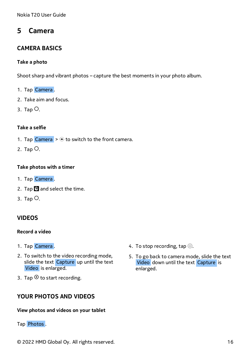# <span id="page-15-0"></span>**5 Camera**

### <span id="page-15-1"></span>**CAMERA BASICS**

#### **Take a photo**

Shoot sharp and vibrant photos – capture the best moments in your photo album.

- 1. Tap Camera .
- 2. Take aim and focus.
- 3. Tap  $\circ$ .

#### **Take a selfie**

- 1. Tap Camera  $>$   $\circ$  to switch to the front camera.
- 2. Tap  $\circlearrowright$ .

#### **Take photos with a timer**

- 1. Tap Camera .
- 2. Tap  $\ddot{\mathbf{S}}$  and select the time.
- 3. Tap  $\circlearrowright$ .

### <span id="page-15-2"></span>**VIDEOS**

#### **Record a video**

- 1. Tap Camera .
- 2. To switch to the video recording mode, slide the text Capture up until the text Video is enlarged.
- 3. Tap  $\odot$  to start recording.

### <span id="page-15-3"></span>**YOUR PHOTOS AND VIDEOS**

### **View photos and videos on your tablet**

### Tap Photos .

- 4. To stop recording, tap  $\textcircled{1}$ .
- 5. To go back to camera mode, slide the text Video down until the text Capture is enlarged.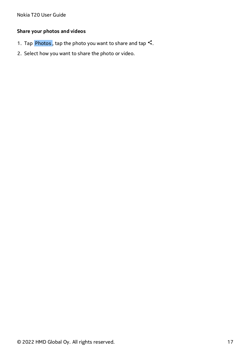### **Share your photos and videos**

- 1. Tap Photos, tap the photo you want to share and tap  $\leq$ .
- 2. Select how you want to share the photo or video.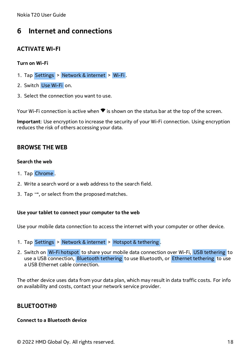# <span id="page-17-0"></span>**6 Internet and connections**

### <span id="page-17-1"></span>**ACTIVATE WI-FI**

#### **Turn on Wi-Fi**

- 1. Tap Settings > Network & internet > Wi-Fi .
- 2. Switch Use Wi-Fi on.
- 3. Select the connection you want to use.

Your Wi-Fi connection is active when  $\blacktriangledown$  is shown on the status bar at the top of the screen.

**Important**: Use encryption to increase the security of your Wi-Fi connection. Using encryption reduces the risk of others accessing your data.

### <span id="page-17-2"></span>**BROWSE THE WEB**

#### **Search the web**

- 1. Tap Chrome .
- 2. Write a search word or a web address to the search field.
- 3. Tap  $\rightarrow$ , or select from the proposed matches.

#### **Use your tablet to connect your computer to the web**

Use your mobile data connection to access the internet with your computer or other device.

- 1. Tap Settings > Network & internet > Hotspot & tethering .
- 2. Switch on Wi-Fi hotspot to share your mobile data connection over Wi-Fi, USB tethering to use a USB connection, Bluetooth tethering to use Bluetooth, or Ethernet tethering to use a USB Ethernet cable connection.

The other device uses data from your data plan, which may result in data traffic costs. For info on availability and costs, contact your network service provider.

### <span id="page-17-3"></span>**BLUETOOTH®**

#### **Connect to a Bluetooth device**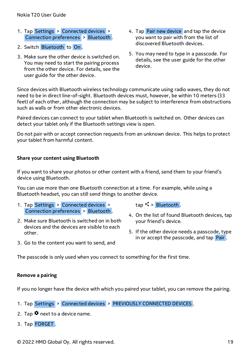- 1. Tap Settings > Connected devices > Connection preferences > Bluetooth .
- 2. Switch Bluetooth to On .
- 3. Make sure the other device is switched on. You may need to start the pairing process from the other device. For details, see the user guide for the other device.
- 4. Tap Pair new device and tap the device you want to pair with from the list of discovered Bluetooth devices.
- 5. You may need to type in a passcode. For details, see the user guide for the other device.

Since devices with Bluetooth wireless technology communicate using radio waves, they do not need to be in direct line-of-sight. Bluetooth devices must, however, be within 10 meters (33 feet) of each other, although the connection may be subject to interference from obstructions such as walls or from other electronic devices.

Paired devices can connect to your tablet when Bluetooth is switched on. Other devices can detect your tablet only if the Bluetooth settings view is open.

Do not pair with or accept connection requests from an unknown device. This helps to protect your tablet from harmful content.

#### **Share your content using Bluetooth**

If you want to share your photos or other content with a friend, send them to your friend's device using Bluetooth.

You can use more than one Bluetooth connection at a time. For example, while using a Bluetooth headset, you can still send things to another device.

- 1. Tap Settings > Connected devices > Connection preferences > Bluetooth .
- 2. Make sure Bluetooth is switched on in both devices and the devices are visible to each other.
- 3. Go to the content you want to send, and

 $tan <$  > Bluetooth.

- 4. On the list of found Bluetooth devices, tap your friend's device.
- 5. If the other device needs a passcode, type in or accept the passcode, and tap Pair

The passcode is only used when you connect to something for the first time.

#### **Remove a pairing**

If you no longer have the device with which you paired your tablet, you can remove the pairing.

- 1. Tap Settings > Connected devices > PREVIOUSLY CONNECTED DEVICES .
- 2. Tap  $\clubsuit$  next to a device name.
- 3. Tap FORGET .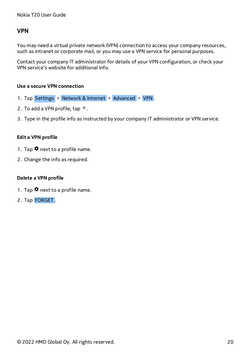### <span id="page-19-0"></span>**VPN**

You may need a virtual private network (VPN) connection to access your company resources, such as intranet or corporate mail, or you may use a VPN service for personal purposes.

Contact your company IT administrator for details of your VPN configuration, or check your VPN service's website for additional info.

#### **Use a secure VPN connection**

- 1. Tap Settings > Network & Internet > Advanced > VPN .
- 2. To add a VPN profile, tap  $+$ .
- 3. Type in the profile info as instructed by your company IT administrator or VPN service.

#### **Edit a VPN profile**

- 1. Tap  $\clubsuit$  next to a profile name.
- 2. Change the info as required.

#### **Delete a VPN profile**

- 1. Tap  $\clubsuit$  next to a profile name.
- 2. Tap FORGET .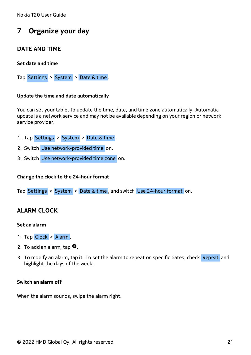# <span id="page-20-0"></span>**7 Organize your day**

### <span id="page-20-1"></span>**DATE AND TIME**

#### **Set date and time**

Tap Settings > System > Date & time .

#### **Update the time and date automatically**

You can set your tablet to update the time, date, and time zone automatically. Automatic update is a network service and may not be available depending on your region or network service provider.

- 1. Tap Settings > System > Date & time .
- 2. Switch Use network-provided time on.
- 3. Switch Use network-provided time zone on.

#### **Change the clock to the 24-hour format**

Tap Settings > System > Date & time , and switch Use 24-hour format on.

### <span id="page-20-2"></span>**ALARM CLOCK**

#### **Set an alarm**

- 1. Tap Clock > Alarm.
- 2. To add an alarm, tap  $\bullet$ .
- 3. To modify an alarm, tap it. To set the alarm to repeat on specific dates, check Repeat and highlight the days of the week.

#### **Switch an alarm off**

When the alarm sounds, swipe the alarm right.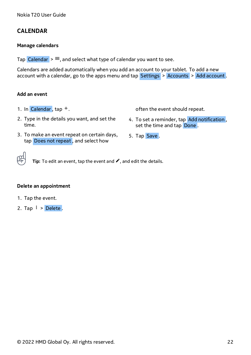### <span id="page-21-0"></span>**CALENDAR**

#### **Manage calendars**

Tap Calendar  $\geq \equiv$ , and select what type of calendar you want to see.

Calendars are added automatically when you add an account to your tablet. To add a new account with a calendar, go to the apps menu and tap Settings > Accounts > Add account.

#### **Add an event**

1. In Calendar,  $tan +$ .

often the event should repeat.

- 2. Type in the details you want, and set the time.
- 4. To set a reminder, tap Add notification , set the time and tap Done .
- 3. To make an event repeat on certain days, tap Does not repeat , and select how
- 5. Tap Save .

**Tip:** To edit an event, tap the event and �, and edit the details.

#### **Delete an appointment**

- 1. Tap the event.
- 2. Tap  $\mathbf{i}$  > Delete.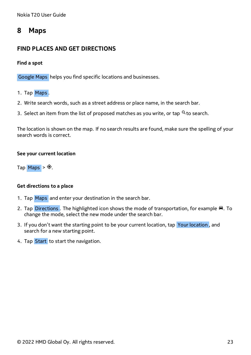### <span id="page-22-0"></span>**8 Maps**

### <span id="page-22-1"></span>**FIND PLACES AND GET DIRECTIONS**

#### **Find a spot**

Google Maps helps you find specific locations and businesses.

- 1. Tap Maps .
- 2. Write search words, such as a street address or place name, in the search bar.
- 3. Select an item from the list of proposed matches as you write, or tap  $\alpha$  to search.

The location is shown on the map. If no search results are found, make sure the spelling of your search words is correct.

#### **See your current location**

Tap Maps  $>$   $\odot$ .

#### **Get directions to a place**

- 1. Tap Maps and enter your destination in the search bar.
- 2. Tap Directions . The highlighted icon shows the mode of transportation, for example ■. To change the mode, select the new mode under the search bar.
- 3. If you don't want the starting point to be your current location, tap Your location, and search for a new starting point.
- 4. Tap Start to start the navigation.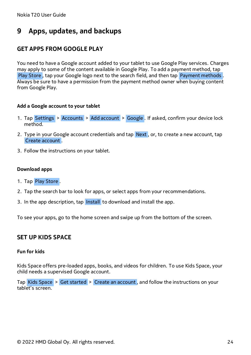# <span id="page-23-0"></span>**9 Apps, updates, and backups**

### <span id="page-23-1"></span>**GET APPS FROM GOOGLE PLAY**

You need to have a Google account added to your tablet to use Google Play services. Charges may apply to some of the content available in Google Play. To add a payment method, tap Play Store , tap your Google logo next to the search field, and then tap Payment methods . Always be sure to have a permission from the payment method owner when buying content from Google Play.

#### **Add a Google account to your tablet**

- 1. Tap Settings > Accounts > Add account > Google . If asked, confirm your device lock method.
- 2. Type in your Google account credentials and tap Next, or, to create a new account, tap Create account .
- 3. Follow the instructions on your tablet.

#### **Download apps**

- 1. Tap Play Store .
- 2. Tap the search bar to look for apps, or select apps from your recommendations.
- 3. In the app description, tap Install to download and install the app.

To see your apps, go to the home screen and swipe up from the bottom of the screen.

### <span id="page-23-2"></span>**SET UP KIDS SPACE**

#### **Fun for kids**

Kids Space offers pre-loaded apps, books, and videos for children. To use Kids Space, your child needs a supervised Google account.

Tap Kids Space > Get started > Create an account , and follow the instructions on your tablet's screen.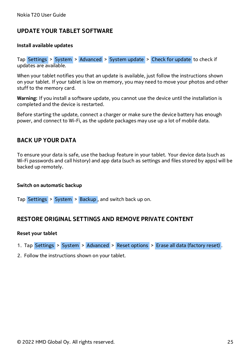### <span id="page-24-0"></span>**UPDATE YOUR TABLET SOFTWARE**

#### **Install available updates**

Tap Settings > System > Advanced > System update > Check for update to check if updates are available.

When your tablet notifies you that an update is available, just follow the instructions shown on your tablet. If your tablet is low on memory, you may need to move your photos and other stuff to the memory card.

**Warning:** If you install a software update, you cannot use the device until the installation is completed and the device is restarted.

Before starting the update, connect a charger or make sure the device battery has enough power, and connect to Wi-Fi, as the update packages may use up a lot of mobile data.

### <span id="page-24-1"></span>**BACK UP YOUR DATA**

To ensure your data is safe, use the backup feature in your tablet. Your device data (such as Wi-Fi passwords and call history) and app data (such as settings and files stored by apps) will be backed up remotely.

#### **Switch on automatic backup**

Tap Settings > System > Backup , and switch back up on.

### <span id="page-24-2"></span>**RESTORE ORIGINAL SETTINGS AND REMOVE PRIVATE CONTENT**

#### **Reset your tablet**

- 1. Tap Settings > System > Advanced > Reset options > Erase all data (factory reset) .
- 2. Follow the instructions shown on your tablet.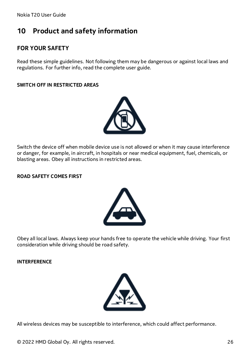# <span id="page-25-0"></span>**10 Product and safety information**

### <span id="page-25-1"></span>**FOR YOUR SAFETY**

Read these simple guidelines. Not following them may be dangerous or against local laws and regulations. For further info, read the complete user guide.

#### **SWITCH OFF IN RESTRICTED AREAS**



Switch the device off when mobile device use is not allowed or when it may cause interference or danger, for example, in aircraft, in hospitals or near medical equipment, fuel, chemicals, or blasting areas. Obey all instructions in restricted areas.

#### **ROAD SAFETY COMES FIRST**



Obey all local laws. Always keep your hands free to operate the vehicle while driving. Your first consideration while driving should be road safety.

**INTERFERENCE**



All wireless devices may be susceptible to interference, which could affect performance.

© 2022 HMD Global Oy. All rights reserved. 26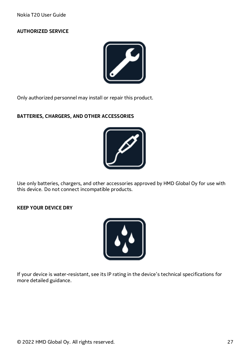#### **AUTHORIZED SERVICE**



Only authorized personnel may install or repair this product.

#### **BATTERIES, CHARGERS, AND OTHER ACCESSORIES**



Use only batteries, chargers, and other accessories approved by HMD Global Oy for use with this device. Do not connect incompatible products.

**KEEP YOUR DEVICE DRY**



If your device is water-resistant, see its IP rating in the device's technical specifications for more detailed guidance.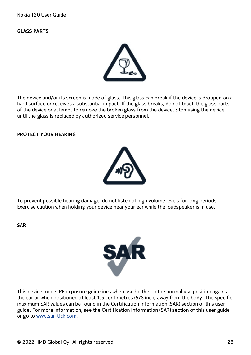#### **GLASS PARTS**



The device and/or its screen is made of glass. This glass can break if the device is dropped on a hard surface or receives a substantial impact. If the glass breaks, do not touch the glass parts of the device or attempt to remove the broken glass from the device. Stop using the device until the glass is replaced by authorized service personnel.

#### **PROTECT YOUR HEARING**



To prevent possible hearing damage, do not listen at high volume levels for long periods. Exercise caution when holding your device near your ear while the loudspeaker is in use.

**SAR**



This device meets RF exposure guidelines when used either in the normal use position against the ear or when positioned at least 1.5 centimetres (5/8 inch) away from the body. The specific maximum SAR values can be found in the Certification Information (SAR) section of this user guide. For more information, see the Certification Information (SAR) section of this user guide or go to [www.sar-tick.com.](http://www.sar-tick.com)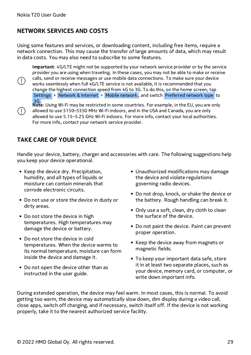$(\cdot)$ 

 $(\cdot)$ 

### <span id="page-28-0"></span>**NETWORK SERVICES AND COSTS**

Using some features and services, or downloading content, including free items, require a network connection. This may cause the transfer of large amounts of data, which may result in data costs. You may also need to subscribe to some features.

**Important**: 4G/LTE might not be supported by your network service provider or by the service provider you are using when traveling. In these cases, you may not be able to make or receive calls, send or receive messages or use mobile data connections. To make sure your device works seamlessly when full 4G/LTE service is not available, it is recommended that you change the highest connection speed from 4G to 3G. To do this, on the home screen, tap Settings > Network & Internet > Mobile network , and switch Preferred network type to 3G .

**Note**: Using Wi-Fi may be restricted in some countries. For example, in the EU, you are only allowed to use 5150–5350 MHz Wi-Fi indoors, and in the USA and Canada, you are only allowed to use 5.15–5.25 GHz Wi-Fi indoors. For more info, contact your local authorities. For more info, contact your network service provider.

### <span id="page-28-1"></span>**TAKE CARE OF YOUR DEVICE**

Handle your device, battery, charger and accessories with care. The following suggestions help you keep your device operational.

- Keep the device dry. Precipitation, humidity, and all types of liquids or moisture can contain minerals that corrode electronic circuits.
- Do not use or store the device in dusty or dirty areas.
- Do not store the device in high temperatures. High temperatures may damage the device or battery.
- Do not store the device in cold temperatures. When the device warms to its normal temperature, moisture can form inside the device and damage it.
- Do not open the device other than as instructed in the user guide.
- Unauthorized modifications may damage the device and violate regulations governing radio devices.
- Do not drop, knock, or shake the device or the battery. Rough handling can break it.
- Only use a soft, clean, dry cloth to clean the surface of the device.
- Do not paint the device. Paint can prevent proper operation.
- Keep the device away from magnets or magnetic fields.
- To keep your important data safe, store it in at least two separate places, such as your device, memory card, or computer, or write down important info.

During extended operation, the device may feel warm. In most cases, this is normal. To avoid getting too warm, the device may automatically slow down, dim display during a video call, close apps, switch off charging, and if necessary, switch itself off. If the device is not working properly, take it to the nearest authorized service facility.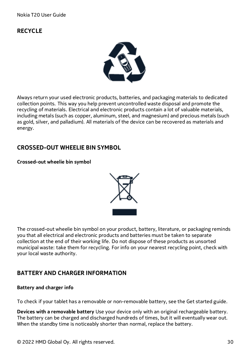### <span id="page-29-0"></span>**RECYCLE**



Always return your used electronic products, batteries, and packaging materials to dedicated collection points. This way you help prevent uncontrolled waste disposal and promote the recycling of materials. Electrical and electronic products contain a lot of valuable materials, including metals (such as copper, aluminum, steel, and magnesium) and precious metals (such as gold, silver, and palladium). All materials of the device can be recovered as materials and energy.

### <span id="page-29-1"></span>**CROSSED-OUT WHEELIE BIN SYMBOL**

#### **Crossed-out wheelie bin symbol**



The crossed-out wheelie bin symbol on your product, battery, literature, or packaging reminds you that all electrical and electronic products and batteries must be taken to separate collection at the end of their working life. Do not dispose of these products as unsorted municipal waste: take them for recycling. For info on your nearest recycling point, check with your local waste authority.

### <span id="page-29-2"></span>**BATTERY AND CHARGER INFORMATION**

#### **Battery and charger info**

To check if your tablet has a removable or non-removable battery, see the Get started guide.

**Devices with a removable battery** Use your device only with an original rechargeable battery. The battery can be charged and discharged hundreds of times, but it will eventually wear out. When the standby time is noticeably shorter than normal, replace the battery.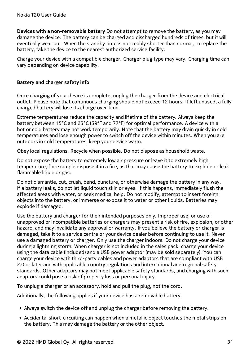**Devices with a non-removable battery** Do not attempt to remove the battery, as you may damage the device. The battery can be charged and discharged hundreds of times, but it will eventually wear out. When the standby time is noticeably shorter than normal, to replace the battery, take the device to the nearest authorized service facility.

Charge your device with a compatible charger. Charger plug type may vary. Charging time can vary depending on device capability.

#### **Battery and charger safety info**

Once charging of your device is complete, unplug the charger from the device and electrical outlet. Please note that continuous charging should not exceed 12 hours. If left unused, a fully charged battery will lose its charge over time.

Extreme temperatures reduce the capacity and lifetime of the battery. Always keep the battery between 15°C and 25°C (59°F and 77°F) for optimal performance. A device with a hot or cold battery may not work temporarily. Note that the battery may drain quickly in cold temperatures and lose enough power to switch off the device within minutes. When you are outdoors in cold temperatures, keep your device warm.

Obey local regulations. Recycle when possible. Do not dispose as household waste.

Do not expose the battery to extremely low air pressure or leave it to extremely high temperature, for example dispose it in a fire, as that may cause the battery to explode or leak flammable liquid or gas.

Do not dismantle, cut, crush, bend, puncture, or otherwise damage the battery in any way. If a battery leaks, do not let liquid touch skin or eyes. If this happens, immediately flush the affected areas with water, or seek medical help. Do not modify, attempt to insert foreign objects into the battery, or immerse or expose it to water or other liquids. Batteries may explode if damaged.

Use the battery and charger for their intended purposes only. Improper use, or use of unapproved or incompatible batteries or chargers may present a risk of fire, explosion, or other hazard, and may invalidate any approval or warranty. If you believe the battery or charger is damaged, take it to a service centre or your device dealer before continuing to use it. Never use a damaged battery or charger. Only use the charger indoors. Do not charge your device during a lightning storm. When charger is not included in the sales pack, charge your device using the data cable (included) and a USB power adaptor (may be sold separately). You can charge your device with third-party cables and power adaptors that are compliant with USB 2.0 or later and with applicable country regulations and international and regional safety standards. Other adaptors may not meet applicable safety standards, and charging with such adaptors could pose a risk of property loss or personal injury.

To unplug a charger or an accessory, hold and pull the plug, not the cord.

Additionally, the following applies if your device has a removable battery:

- Always switch the device off and unplug the charger before removing the battery.
- Accidental short-circuiting can happen when a metallic object touches the metal strips on the battery. This may damage the battery or the other object.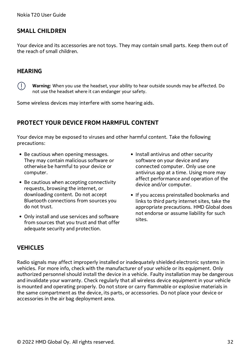### <span id="page-31-0"></span>**SMALL CHILDREN**

Your device and its accessories are not toys. They may contain small parts. Keep them out of the reach of small children.

### <span id="page-31-1"></span>**HEARING**

 $(1)$ 

**Warning:** When you use the headset, your ability to hear outside sounds may be affected. Do not use the headset where it can endanger your safety.

Some wireless devices may interfere with some hearing aids.

### <span id="page-31-2"></span>**PROTECT YOUR DEVICE FROM HARMFUL CONTENT**

Your device may be exposed to viruses and other harmful content. Take the following precautions:

- Be cautious when opening messages. They may contain malicious software or otherwise be harmful to your device or computer.
- Be cautious when accepting connectivity requests, browsing the internet, or downloading content. Do not accept Bluetooth connections from sources you do not trust.
- Only install and use services and software from sources that you trust and that offer adequate security and protection.
- Install antivirus and other security software on your device and any connected computer. Only use one antivirus app at a time. Using more may affect performance and operation of the device and/or computer.
- If you access preinstalled bookmarks and links to third party internet sites, take the appropriate precautions. HMD Global does not endorse or assume liability for such sites.

### <span id="page-31-3"></span>**VEHICLES**

Radio signals may affect improperly installed or inadequately shielded electronic systems in vehicles. For more info, check with the manufacturer of your vehicle or its equipment. Only authorized personnel should install the device in a vehicle. Faulty installation may be dangerous and invalidate your warranty. Check regularly that all wireless device equipment in your vehicle is mounted and operating properly. Do not store or carry flammable or explosive materials in the same compartment as the device, its parts, or accessories. Do not place your device or accessories in the air bag deployment area.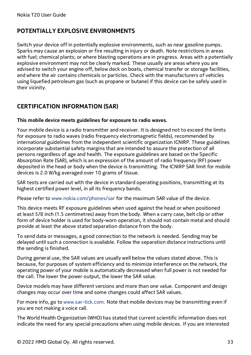### <span id="page-32-0"></span>**POTENTIALLY EXPLOSIVE ENVIRONMENTS**

Switch your device off in potentially explosive environments, such as near gasoline pumps. Sparks may cause an explosion or fire resulting in injury or death. Note restrictions in areas with fuel; chemical plants; or where blasting operations are in progress. Areas with a potentially explosive environment may not be clearly marked. These usually are areas where you are advised to switch your engine off, below deck on boats, chemical transfer or storage facilities, and where the air contains chemicals or particles. Check with the manufacturers of vehicles using liquefied petroleum gas (such as propane or butane) if this device can be safely used in their vicinity.

### <span id="page-32-1"></span>**CERTIFICATION INFORMATION (SAR)**

#### **This mobile device meets guidelines for exposure to radio waves.**

Your mobile device is a radio transmitter and receiver. It is designed not to exceed the limits for exposure to radio waves (radio frequency electromagnetic fields), recommended by international guidelines from the independent scientific organization ICNIRP. These guidelines incorporate substantial safety margins that are intended to assure the protection of all persons regardless of age and health. The exposure guidelines are based on the Specific Absorption Rate (SAR), which is an expression of the amount of radio frequency (RF) power deposited in the head or body when the device is transmitting. The ICNIRP SAR limit for mobile devices is 2.0 W/kg averaged over 10 grams of tissue.

SAR tests are carried out with the device in standard operating positions, transmitting at its highest certified power level, in all its frequency bands.

Please refer to [www.nokia.com/phones/sar](https://www.nokia.com/phones/sar) for the maximum SAR value of the device.

This device meets RF exposure guidelines when used against the head or when positioned at least 5/8 inch (1.5 centimetres) away from the body. When a carry case, belt clip or other form of device holder is used for body-worn operation, it should not contain metal and should provide at least the above stated separation distance from the body.

To send data or messages, a good connection to the network is needed. Sending may be delayed until such a connection is available. Follow the separation distance instructions until the sending is finished.

During general use, the SAR values are usually well below the values stated above. This is because, for purposes of system efficiency and to minimize interference on the network, the operating power of your mobile is automatically decreased when full power is not needed for the call. The lower the power output, the lower the SAR value.

Device models may have different versions and more than one value. Component and design changes may occur over time and some changes could affect SAR values.

For more info, go to [www.sar-tick.com.](http://www.sar-tick.com) Note that mobile devices may be transmitting even if you are not making a voice call.

The World Health Organization (WHO) has stated that current scientific information does not indicate the need for any special precautions when using mobile devices. If you are interested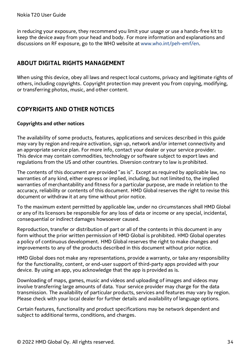in reducing your exposure, they recommend you limit your usage or use a hands-free kit to keep the device away from your head and body. For more information and explanations and discussions on RF exposure, go to the WHO website at [www.who.int/peh-emf/en.](http://www.who.int/peh-emf/en)

### <span id="page-33-0"></span>**ABOUT DIGITAL RIGHTS MANAGEMENT**

When using this device, obey all laws and respect local customs, privacy and legitimate rights of others, including copyrights. Copyright protection may prevent you from copying, modifying, or transferring photos, music, and other content.

### <span id="page-33-1"></span>**COPYRIGHTS AND OTHER NOTICES**

#### **Copyrights and other notices**

The availability of some products, features, applications and services described in this guide may vary by region and require activation, sign up, network and/or internet connectivity and an appropriate service plan. For more info, contact your dealer or your service provider. This device may contain commodities, technology or software subject to export laws and regulations from the US and other countries. Diversion contrary to law is prohibited.

The contents of this document are provided "as is". Except as required by applicable law, no warranties of any kind, either express or implied, including, but not limited to, the implied warranties of merchantability and fitness for a particular purpose, are made in relation to the accuracy, reliability or contents of this document. HMD Global reserves the right to revise this document or withdraw it at any time without prior notice.

To the maximum extent permitted by applicable law, under no circumstances shall HMD Global or any of its licensors be responsible for any loss of data or income or any special, incidental, consequential or indirect damages howsoever caused.

Reproduction, transfer or distribution of part or all of the contents in this document in any form without the prior written permission of HMD Global is prohibited. HMD Global operates a policy of continuous development. HMD Global reserves the right to make changes and improvements to any of the products described in this document without prior notice.

HMD Global does not make any representations, provide a warranty, or take any responsibility for the functionality, content, or end-user support of third-party apps provided with your device. By using an app, you acknowledge that the app is provided as is.

Downloading of maps, games, music and videos and uploading of images and videos may involve transferring large amounts of data. Your service provider may charge for the data transmission. The availability of particular products, services and features may vary by region. Please check with your local dealer for further details and availability of language options.

Certain features, functionality and product specifications may be network dependent and subject to additional terms, conditions, and charges.